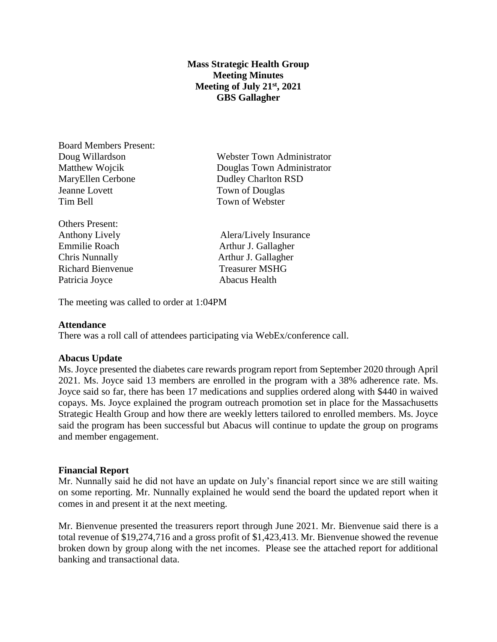# **Mass Strategic Health Group Meeting Minutes Meeting of July 21st, 2021 GBS Gallagher**

Board Members Present: MaryEllen Cerbone Dudley Charlton RSD Jeanne Lovett Town of Douglas Tim Bell Town of Webster

Others Present: Chris Nunnally **Arthur J. Gallagher** Richard Bienvenue Treasurer MSHG Patricia Joyce Abacus Health

Doug Willardson Webster Town Administrator Matthew Wojcik Douglas Town Administrator

Anthony Lively **Alera** Alera Alera Alera Alera Alera Alera Alera Alera Alera Alera Alera Alera Alera Alera Alera A Emmilie Roach **Arthur J. Gallagher** 

The meeting was called to order at 1:04PM

### **Attendance**

There was a roll call of attendees participating via WebEx/conference call.

### **Abacus Update**

Ms. Joyce presented the diabetes care rewards program report from September 2020 through April 2021. Ms. Joyce said 13 members are enrolled in the program with a 38% adherence rate. Ms. Joyce said so far, there has been 17 medications and supplies ordered along with \$440 in waived copays. Ms. Joyce explained the program outreach promotion set in place for the Massachusetts Strategic Health Group and how there are weekly letters tailored to enrolled members. Ms. Joyce said the program has been successful but Abacus will continue to update the group on programs and member engagement.

#### **Financial Report**

Mr. Nunnally said he did not have an update on July's financial report since we are still waiting on some reporting. Mr. Nunnally explained he would send the board the updated report when it comes in and present it at the next meeting.

Mr. Bienvenue presented the treasurers report through June 2021. Mr. Bienvenue said there is a total revenue of \$19,274,716 and a gross profit of \$1,423,413. Mr. Bienvenue showed the revenue broken down by group along with the net incomes. Please see the attached report for additional banking and transactional data.